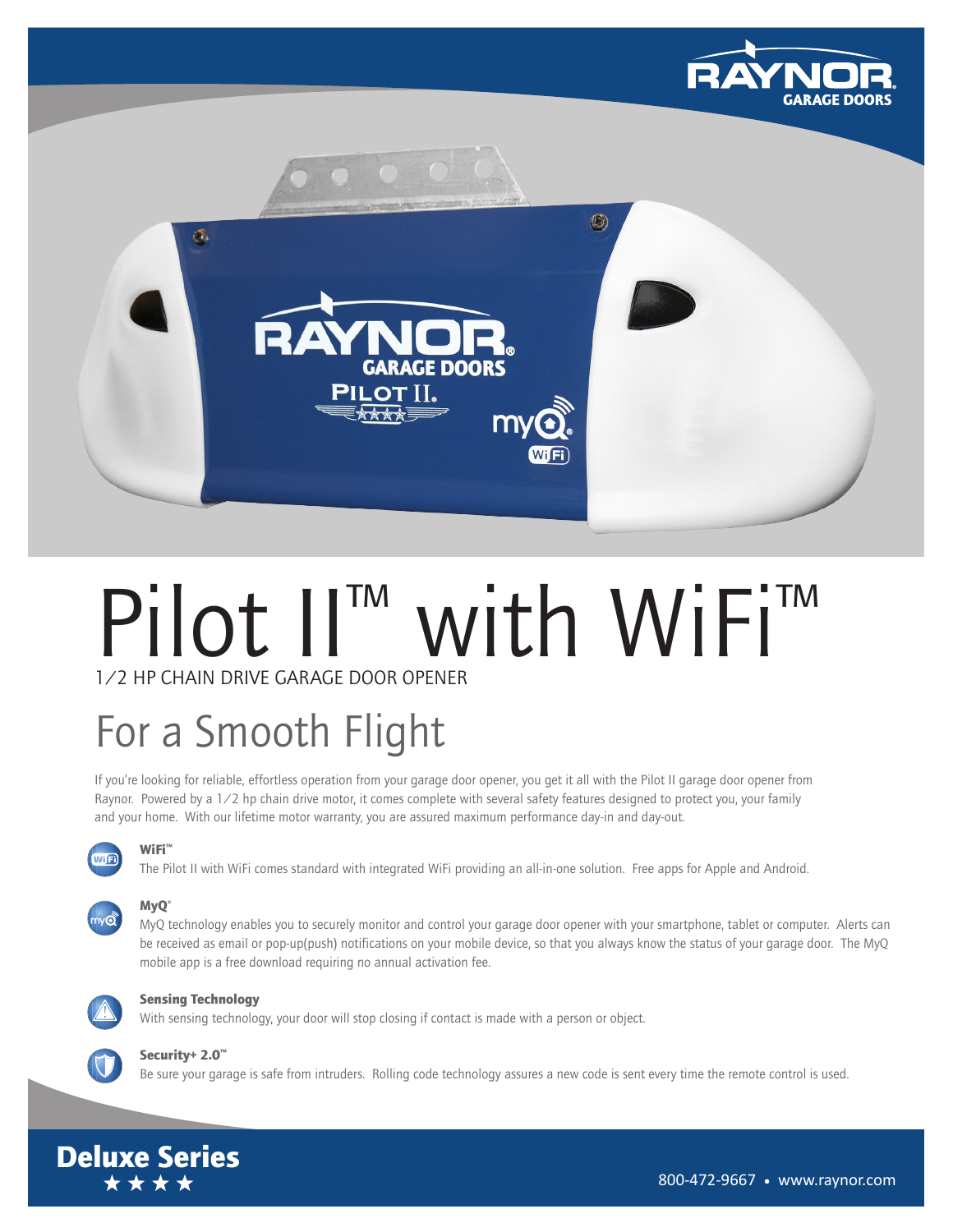



# Pilot II™ with WiFi™ 1/2 HP CHAIN DRIVE GARAGE DOOR OPENER

## For a Smooth Flight

If you're looking for reliable, effortless operation from your garage door opener, you get it all with the Pilot II garage door opener from Raynor. Powered by a 1/2 hp chain drive motor, it comes complete with several safety features designed to protect you, your family and your home. With our lifetime motor warranty, you are assured maximum performance day-in and day-out.



WiFi<sup>™</sup>

The Pilot II with WiFi comes standard with integrated WiFi providing an all-in-one solution. Free apps for Apple and Android.

#### MyQ° ny**o**

MyQ technology enables you to securely monitor and control your garage door opener with your smartphone, tablet or computer. Alerts can be received as email or pop-up(push) notifications on your mobile device, so that you always know the status of your garage door. The MyQ mobile app is a free download requiring no annual activation fee.



#### Sensing Technology

With sensing technology, your door will stop closing if contact is made with a person or object.



#### Security+ 2.0™

Be sure your garage is safe from intruders. Rolling code technology assures a new code is sent every time the remote control is used.